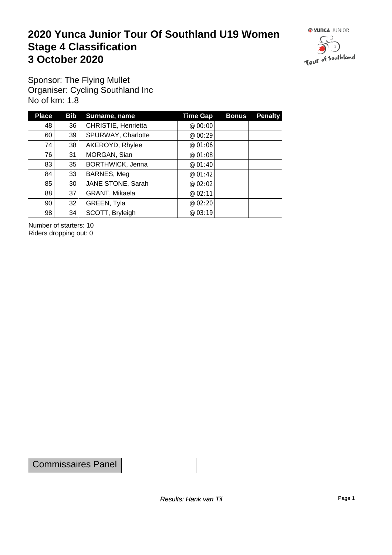### **2020 Yunca Junior Tour Of Southland U19 Women** Stage 4 Classification<br>3 October 2020 **3 October 2020**



Sponsor: The Flying Mullet Organiser: Cycling Southland Inc No of km: 1.8

| <b>Place</b>    | Bib | Surname, name       | <b>Time Gap</b> | <b>Bonus</b> | <b>Penalty</b> |
|-----------------|-----|---------------------|-----------------|--------------|----------------|
| 48              | 36  | CHRISTIE, Henrietta | @ $00:00$       |              |                |
| 60              | 39  | SPURWAY, Charlotte  | @ 00:29         |              |                |
| 74              | 38  | AKEROYD, Rhylee     | @01:06          |              |                |
| 76              | 31  | MORGAN, Sian        | @ 01:08         |              |                |
| 83              | 35  | BORTHWICK, Jenna    | @ 01:40         |              |                |
| 84              | 33  | BARNES, Meg         | @ 01:42         |              |                |
| 85              | 30  | JANE STONE, Sarah   | @ $02:02$       |              |                |
| 88              | 37  | GRANT, Mikaela      | @ 02:11         |              |                |
| 90 <sub>1</sub> | 32  | GREEN, Tyla         | @02:20          |              |                |
| 98              | 34  | SCOTT, Bryleigh     | @ 03:19         |              |                |

Number of starters: 10 Riders dropping out: 0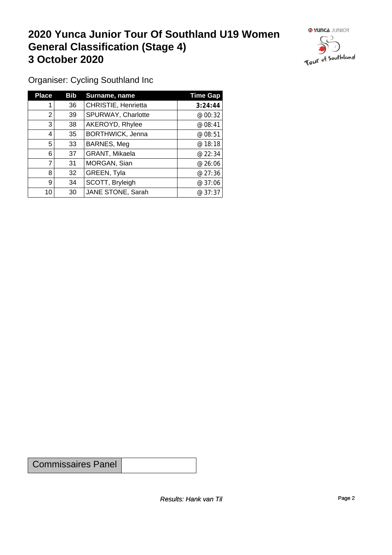### **2020 Yunca Junior Tour Of Southland U19 Women General Classification (Stage 4)**<br> **3 October 2020 3 October 2020**



Organiser: Cycling Southland Inc

| <b>Place</b> | Bib | Surname, name           | <b>Time Gap</b> |
|--------------|-----|-------------------------|-----------------|
|              | 36  | CHRISTIE, Henrietta     | 3:24:44         |
| 2            | 39  | SPURWAY, Charlotte      | @ 00:32         |
| 3            | 38  | AKEROYD, Rhylee         | @ 08:41         |
| 4            | 35  | <b>BORTHWICK, Jenna</b> | @ 08:51         |
| 5            | 33  | BARNES, Meg             | @18:18          |
| 6            | 37  | GRANT, Mikaela          | @22:34          |
|              | 31  | MORGAN, Sian            | @26:06          |
| 8            | 32  | GREEN, Tyla             | @ 27:36         |
| 9            | 34  | SCOTT, Bryleigh         | @37:06          |
| 10           | 30  | JANE STONE, Sarah       | @37:37          |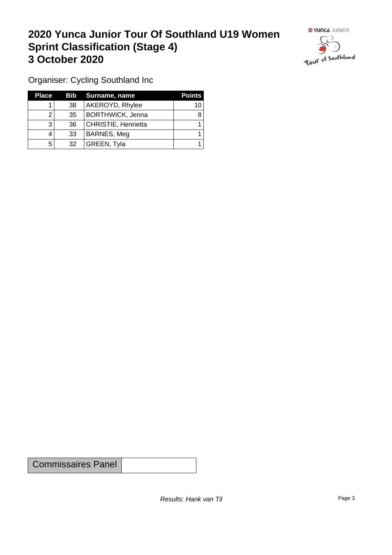# **2020 Yunca Junior Tour Of Southland U19 Women Sprint Classification (Stage 4) 3 October 2020**



Organiser: Cycling Southland Inc

| <b>Place</b> |                 | <b>Bib</b> Surname, name | <b>Points</b> |
|--------------|-----------------|--------------------------|---------------|
|              | 38              | AKEROYD, Rhylee          | 10            |
|              | 35 <sup>1</sup> | <b>BORTHWICK, Jenna</b>  |               |
| 3            | 36              | CHRISTIE, Henrietta      |               |
|              | 33              | BARNES, Meg              |               |
| 5            | 32              | GREEN, Tyla              |               |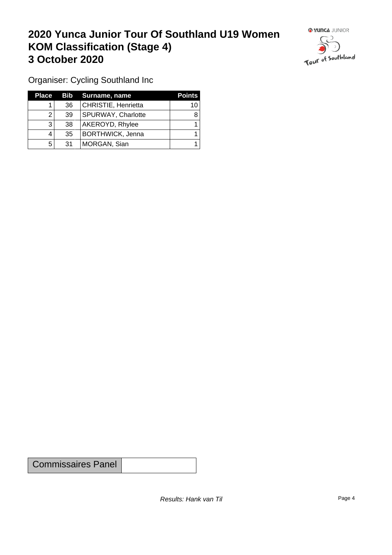# **2020 Yunca Junior Tour Of Southland U19 Women KOM Classification (Stage 4) 3 October 2020 1999 <b>1999 1999 1999 1999 1999 1999 1999 1999 1999 1999 1999 1999 1999 1999 1999 1999 1999 1999 1999 1999 1999 1999 1999 1999 1999 1999 1999 1999 19**



Organiser: Cycling Southland Inc

| <b>Place</b> |    | <b>Bib</b> Surname, name | <b>Points</b> |
|--------------|----|--------------------------|---------------|
|              | 36 | CHRISTIE, Henrietta      | 10            |
|              | 39 | SPURWAY, Charlotte       | 8             |
| 3            | 38 | AKEROYD, Rhylee          |               |
| 4            | 35 | BORTHWICK, Jenna         |               |
| 5            | 31 | MORGAN, Sian             |               |